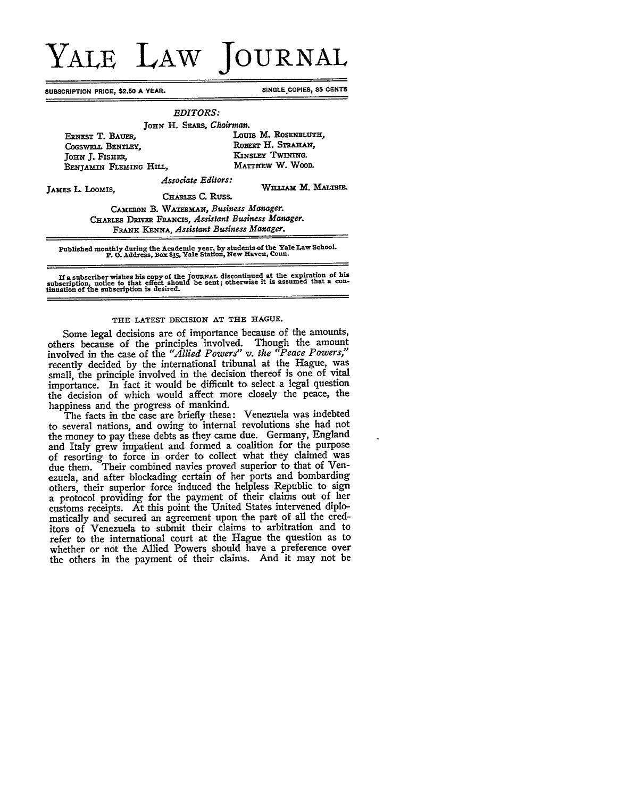## YALE LAW **JOURNAL**

**SUBSCRIPTION PRICE, \$2.50 A YEAR.** SINGLE COPIES, 85 CENTS

## *EDITORS:* **JOHN H. SEARS. Chairman.**

BENJAMIN FLEMING HILL,

ERNEST T. BAUER, LOUIS M. ROSENBLUTH, COGSWELL BENTLEY, ROBERT H. STRAHAN, ROBERT H. STRAHAN,<br>**KINSLEY TWINING**. JOHN J. FISHER, NEW YORK TWINING.<br>**BENIAMIN FIEMING HILL NATTHEW W. WOOD.** 

*Associate Editors:*

JAMES L. LOOMIS, **CHARLES C. RUSS.** WHIJAM M. MALTBIE.

CAMERON B. WATERMAN, Business Manager. CHARLES DRIVER FRANCIS, Assistant Business Manager. FRANK **KENNA,** *Assistant Business Manager.*

**Published monthly during the Academic year. by students of the Yale Law School. P. O. Address, Box 835, Yale Station, New Haven, Conn.**

If a subscriber wishes his copy of the four and discontinued at the expiration of his subscription, notice to that effect should be sent; otherwise it is assumed that a continuation of the subscription is desired.

## **THE LATEST DECISION AT THE HAGUE.**

Some legal decisions are of importance because of the amounts, others because of the principles involved. Though the amount involved in the case of the *"Allied Powers" v. the "Peace Powers,"* recently decided by the international tribunal at the Hague, was small, the principle involved in the decision thereof is one of vital importance. In fact it would be difficult to select a legal question the decision of which would affect more closely the peace, the happiness and the progress of mankind.

The facts in the case are briefly these: Venezuela was indebted to several nations, and owing to internal revolutions she had not the money to pay these debts as they came due. Germany, England and Italy grew impatient and formed a coalition for the purpose of resorting to force in order to collect what they claimed was due them. Their combined navies proved superior to that of Venezuela, and after blockading certain of her ports and bombarding others, their superior force induced the helpless Republic to sign a protocol providing for the payment of their claims out of her customs receipts. At this point the United States intervened diplomatically and secured an agreement upon the part of all the creditors of Venezuela to submit their claims to arbitration and to refer to the international court at the Hague the question as to whether or not the Allied Powers should have a preference over the others in the payment of their claims. And it may not be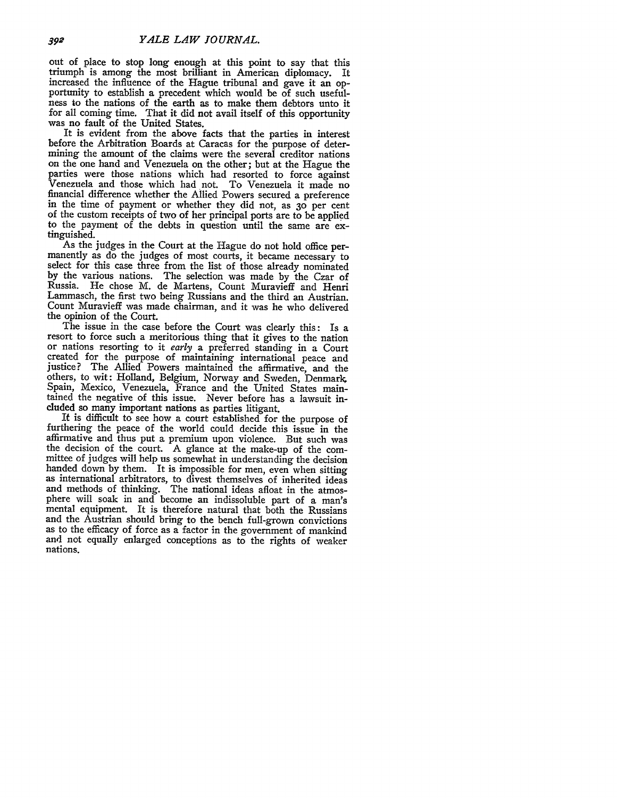out of place to stop long enough at this point to say that this triumph is among the most brilliant in American diplomacy. It increased the influence of the Hague tribunal and gave it an op- portunity to establish a precedent which would be of such usefulness to the nations of the earth as to make them debtors unto it for all coming time. That it did not avail itself of this opportunity was no fault of the United States.

It is evident from the above facts that the parties in interest before the Arbitration Boards at Caracas for the purpose of determining the amount of the claims were the several creditor nations on the one hand and Venezuela on the other; but at the Hague the parties were those nations which had resorted to force against Venezuela and those which had not. To Venezuela it made no in the time of payment or whether they did not, as  $30$  per cent of the custom receipts of two of her principal ports are to be applied to the payment of the debts in question until the same are ex-<br>tinguished.

As the judges in the Court at the Hague do not hold office per-<br>manently as do the judges of most courts, it became necessary to select for this case three from the list of those already nominated **by** the various nations. The selection was made **by** the Czar of Russia. He chose M. de Martens, Count Muravieff and Henri Lammasch, the first two being Russians and the third an Austrian. Count Muravieff was made chairman, and it was he who delivered the opinion of the Court.

The issue in the case before the Court was clearly this: Is a resort to force such a meritorious thing that it gives to the nation or nations resorting to it *early* a preferred standing in a Court created for the purpose of maintaining international peace and justice? The Allied Powers maintained the affirmative, and the others, to wit: Holland, Belgium, Norway and Sweden, Denmark Spain, Mexico, Venezuela, France and the United States maintained the negative of this issue. Never before has a lawsuit included so many important nations as parties litigant.

It is difficult to see how a court established for the purpose of furthering the peace of the world could decide this issue in the affirmative and thus put a premium upon violence. But such was the decision of the court. A glance at the make-up of the committee of judges will help us somewhat in understanding the decision handed down by them. It is impossible for men, even when sitting as international arbitrators, to divest themselves of inherited ideas and methods of thinking. The national ideas afloat in the atmosphere will soak in and become an indissoluble part of a man's mental equipment. It is therefore natural that both the Russians and the Austrian should bring to the bench full-grown convictions as to the efficacy of force as a factor in the government of mankind and not equally enlarged conceptions as to the rights of weaker nations.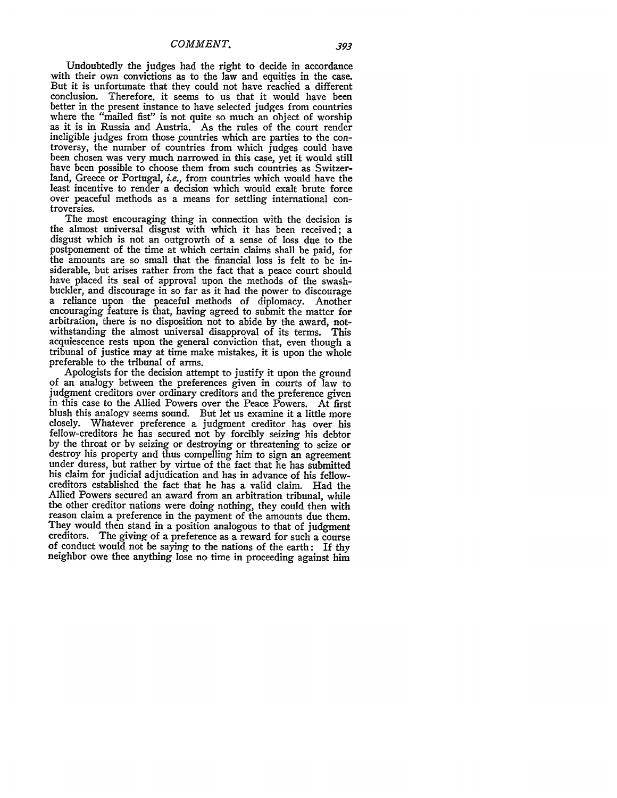Undoubtedly the judges had the right to decide in accordance with their own convictions as to the law and equities in the case. But it is unfortunate that they could not have reached a different conclusion. Therefore. it seems to us that it would have been better in the present instance to have selected judges from countries where the "mailed *fist"* is not quite so much an object of worship **as** it is in Russia and Austria. As the rules of the court rendcr ineligible judges from those countries which are parties to the controversy, the number of countries from which judges could have been chosen was very much narrowed in this case, yet it would still have been possible to choose them from such countries as Switzerland, Greece or Portugal, *i.e.,* from countries which would have the least incentive to render a decision which would exalt brute force over peaceful methods as a means for settling international controversies.

The most encouraging thing in connection with the decision is the almost universal disgust with which it has been received; a disgust which is not an outgrowth of a sense of loss due to the postponement of the time at which certain claims shall be paid, for the amounts are so small that the financial loss is felt to be insiderable, but arises rather from the fact that a peace court should have placed its seal of approval upon the methods of the swashbuckler, and discourage in so far as it had the power to discourage a reliance upon the peaceful methods of diplomacy. Another encouraging feature is that, having agreed to submit the matter for arbitration, there is no disposition not to abide **by** the award, notwithstanding the almost universal disapproval of its terms. This acquiescence rests upon the general conviction that, even though a tribunal of justice may at time make mistakes, it is upon the whole preferable to the tribunal of arms.

Apologists for the decision attempt to justify it upon the ground of an analogy between the preferences given in courts of law to judgment creditors over ordinary creditors and the preference given in this case to the Allied Powers over the Peace Powers. At first blush this analogy seems sound. But let us examine it a little more closely. Whatever preference a judgment creditor has over his fellow-creditors he has secured not **by** forcibly seizing his debtor **by** the throat or by seizing or destroying or threatening to seize or destroy his property and thus compelling him to sign an agreement under duress, but rather **by** virtue of the fact that he has submitted his claim for judicial adjudication and has in advance of his fellowcreditors established the fact that he has a valid claim. Had the Allied Powers secured an award from an arbitration tribunal, while the other creditor nations were doing nothing, they could then with reason claim a preference in the payment of the amounts due them. They would then stand in a position analogous to that of judgment creditors. The giving of a preference as a reward for such a course of conduct would not be saying to the nations of the earth: If thy neighbor owe thee anything lose no time in proceeding against him